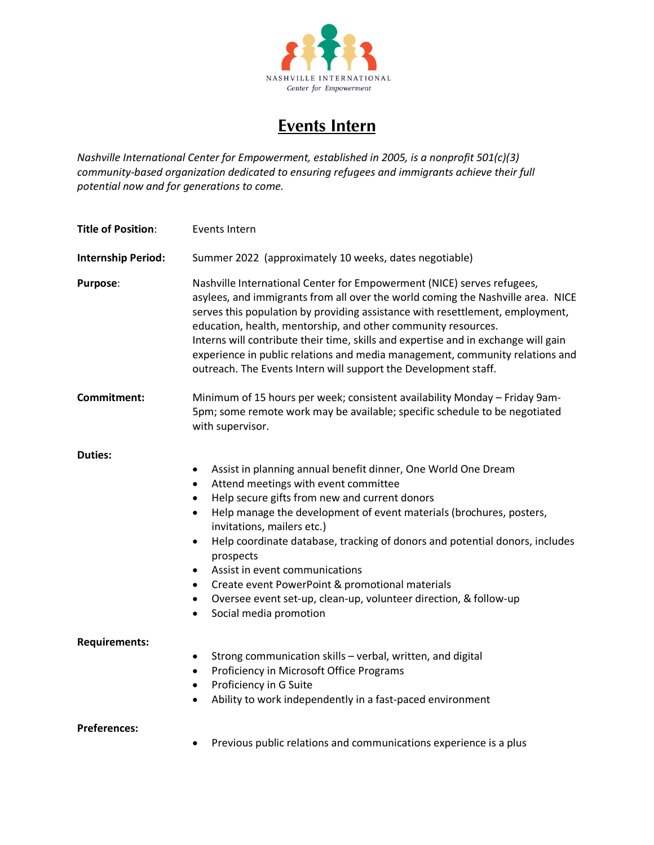

## **Events Intern**

*Nashville International Center for Empowerment, established in 2005, is a nonprofit 501(c)(3) community-based organization dedicated to ensuring refugees and immigrants achieve their full potential now and for generations to come.*

| <b>Title of Position:</b> | <b>Events Intern</b>                                                                                                                                                                                                                                                                                                                                                                                                                                                                                                                                                                                                     |
|---------------------------|--------------------------------------------------------------------------------------------------------------------------------------------------------------------------------------------------------------------------------------------------------------------------------------------------------------------------------------------------------------------------------------------------------------------------------------------------------------------------------------------------------------------------------------------------------------------------------------------------------------------------|
| <b>Internship Period:</b> | Summer 2022 (approximately 10 weeks, dates negotiable)                                                                                                                                                                                                                                                                                                                                                                                                                                                                                                                                                                   |
| Purpose:                  | Nashville International Center for Empowerment (NICE) serves refugees,<br>asylees, and immigrants from all over the world coming the Nashville area. NICE<br>serves this population by providing assistance with resettlement, employment,<br>education, health, mentorship, and other community resources.<br>Interns will contribute their time, skills and expertise and in exchange will gain<br>experience in public relations and media management, community relations and<br>outreach. The Events Intern will support the Development staff.                                                                     |
| Commitment:               | Minimum of 15 hours per week; consistent availability Monday - Friday 9am-<br>5pm; some remote work may be available; specific schedule to be negotiated<br>with supervisor.                                                                                                                                                                                                                                                                                                                                                                                                                                             |
| <b>Duties:</b>            | Assist in planning annual benefit dinner, One World One Dream<br>$\bullet$<br>Attend meetings with event committee<br>$\bullet$<br>Help secure gifts from new and current donors<br>Help manage the development of event materials (brochures, posters,<br>$\bullet$<br>invitations, mailers etc.)<br>Help coordinate database, tracking of donors and potential donors, includes<br>$\bullet$<br>prospects<br>Assist in event communications<br>$\bullet$<br>Create event PowerPoint & promotional materials<br>Oversee event set-up, clean-up, volunteer direction, & follow-up<br>Social media promotion<br>$\bullet$ |
| <b>Requirements:</b>      | Strong communication skills - verbal, written, and digital<br>$\bullet$<br>Proficiency in Microsoft Office Programs<br>$\bullet$<br>Proficiency in G Suite<br>$\bullet$<br>Ability to work independently in a fast-paced environment<br>$\bullet$                                                                                                                                                                                                                                                                                                                                                                        |
| <b>Preferences:</b>       | Previous public relations and communications experience is a plus                                                                                                                                                                                                                                                                                                                                                                                                                                                                                                                                                        |